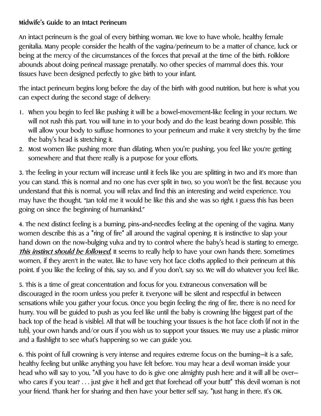## **Midwife's Guide to an Intact Perineum**

An intact perineum is the goal of every birthing woman. We love to have whole, healthy female genitalia. Many people consider the health of the vagina/perineum to be a matter of chance, luck or being at the mercy of the circumstances of the forces that prevail at the time of the birth. Folklore abounds about doing perineal massage prenatally. No other species of mammal does this. Your tissues have been designed perfectly to give birth to your infant.

The intact perineum begins long before the day of the birth with good nutrition, but here is what you can expect during the second stage of delivery:

- 1. When you begin to feel like pushing it will be a bowel-movement-like feeling in your rectum. We will not rush this part. You will tune in to your body and do the least bearing down possible. This will allow your body to suffuse hormones to your perineum and make it very stretchy by the time the baby's head is stretching it.
- 2. Most women like pushing more than dilating. When you're pushing, you feel like you're getting somewhere and that there really is a purpose for your efforts.

3. The feeling in your rectum will increase until it feels like you are splitting in two and it's more than you can stand. This is normal and no one has ever split in two, so you won't be the first. Because you understand that this is normal, you will relax and find this an interesting and weird experience. You may have the thought, "Jan told me it would be like this and she was so right. I guess this has been going on since the beginning of humankind."

4. The next distinct feeling is a burning, pins-and-needles feeling at the opening of the vagina. Many women describe this as a "ring of fire" all around the vaginal opening. It is instinctive to slap your hand down on the now-bulging vulva and try to control where the baby's head is starting to emerge. **This instinct should be followed.** It seems to really help to have your own hands there. Sometimes women, if they aren't in the water, like to have very hot face cloths applied to their perineum at this point. If you like the feeling of this, say so, and if you don't, say so. We will do whatever you feel like.

5. This is a time of great concentration and focus for you. Extraneous conversation will be discouraged in the room unless you prefer it. Everyone will be silent and respectful in between sensations while you gather your focus. Once you begin feeling the ring of fire, there is no need for hurry. You will be guided to push as you feel like until the baby is crowning (the biggest part of the back top of the head is visible). All that will be touching your tissues is the hot face cloth (if not in the tub), your own hands and/or ours if you wish us to support your tissues. We may use a plastic mirror and a flashlight to see what's happening so we can guide you.

6. This point of full crowning is very intense and requires extreme focus on the burning—it is a safe, healthy feeling but unlike anything you have felt before. You may hear a devil woman inside your head who will say to you, "All you have to do is give one almighty push here and it will all be overwho cares if you tear? . . . just give it hell and get that forehead off your butt!" This devil woman is not your friend. Thank her for sharing and then have your better self say, "Just hang in there. It's OK.